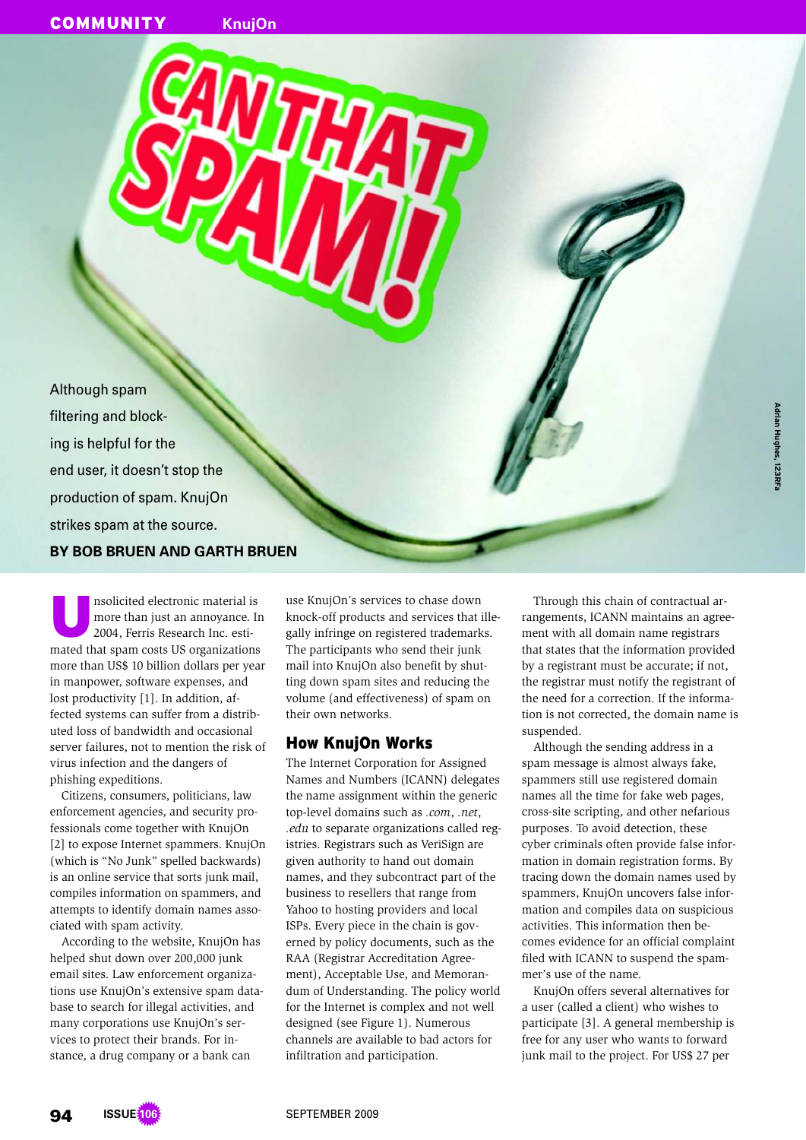Although spam filtering and blocking is helpful for the end user, it doesn't stop the production of spam. KnujOn strikes spam at the source. **BY BOB BRUEN AND GARTH BRUEN**

U nsolicited electronic material is more than just an annoyance. In 2004, Ferris Research Inc. estimated that spam costs US organizations more than US\$ 10 billion dollars per year in manpower, software expenses, and lost productivity [1]. In addition, affected systems can suffer from a distributed loss of bandwidth and occasional server failures, not to mention the risk of virus infection and the dangers of phishing expeditions.

Citizens, consumers, politicians, law enforcement agencies, and security professionals come together with KnujOn [2] to expose Internet spammers. KnujOn (which is "No Junk" spelled backwards) is an online service that sorts junk mail, compiles information on spammers, and attempts to identify domain names associated with spam activity.

According to the website, KnujOn has helped shut down over 200,000 junk email sites. Law enforcement organizations use KnujOn's extensive spam database to search for illegal activities, and many corporations use KnujOn's services to protect their brands. For instance, a drug company or a bank can

use KnujOn's services to chase down knock-off products and services that illegally infringe on registered trademarks. The participants who send their junk mail into KnujOn also benefit by shutting down spam sites and reducing the volume (and effectiveness) of spam on their own networks.

### How KnujOn Works

The Internet Corporation for Assigned Names and Numbers (ICANN) delegates the name assignment within the generic top-level domains such as *.com*, *.net*, *.edu* to separate organizations called registries. Registrars such as VeriSign are given authority to hand out domain names, and they subcontract part of the business to resellers that range from Yahoo to hosting providers and local ISPs. Every piece in the chain is governed by policy documents, such as the RAA (Registrar Accreditation Agreement), Acceptable Use, and Memorandum of Understanding. The policy world for the Internet is complex and not well designed (see Figure 1). Numerous channels are available to bad actors for infiltration and participation.

Through this chain of contractual arrangements, ICANN maintains an agreement with all domain name registrars that states that the information provided by a registrant must be accurate; if not, the registrar must notify the registrant of the need for a correction. If the information is not corrected, the domain name is suspended.

Although the sending address in a spam message is almost always fake, spammers still use registered domain names all the time for fake web pages, cross-site scripting, and other nefarious purposes. To avoid detection, these cyber criminals often provide false information in domain registration forms. By tracing down the domain names used by spammers, KnujOn uncovers false information and compiles data on suspicious activities. This information then becomes evidence for an official complaint filed with ICANN to suspend the spammer's use of the name.

KnujOn offers several alternatives for a user (called a client) who wishes to participate [3]. A general membership is free for any user who wants to forward junk mail to the project. For US\$ 27 per